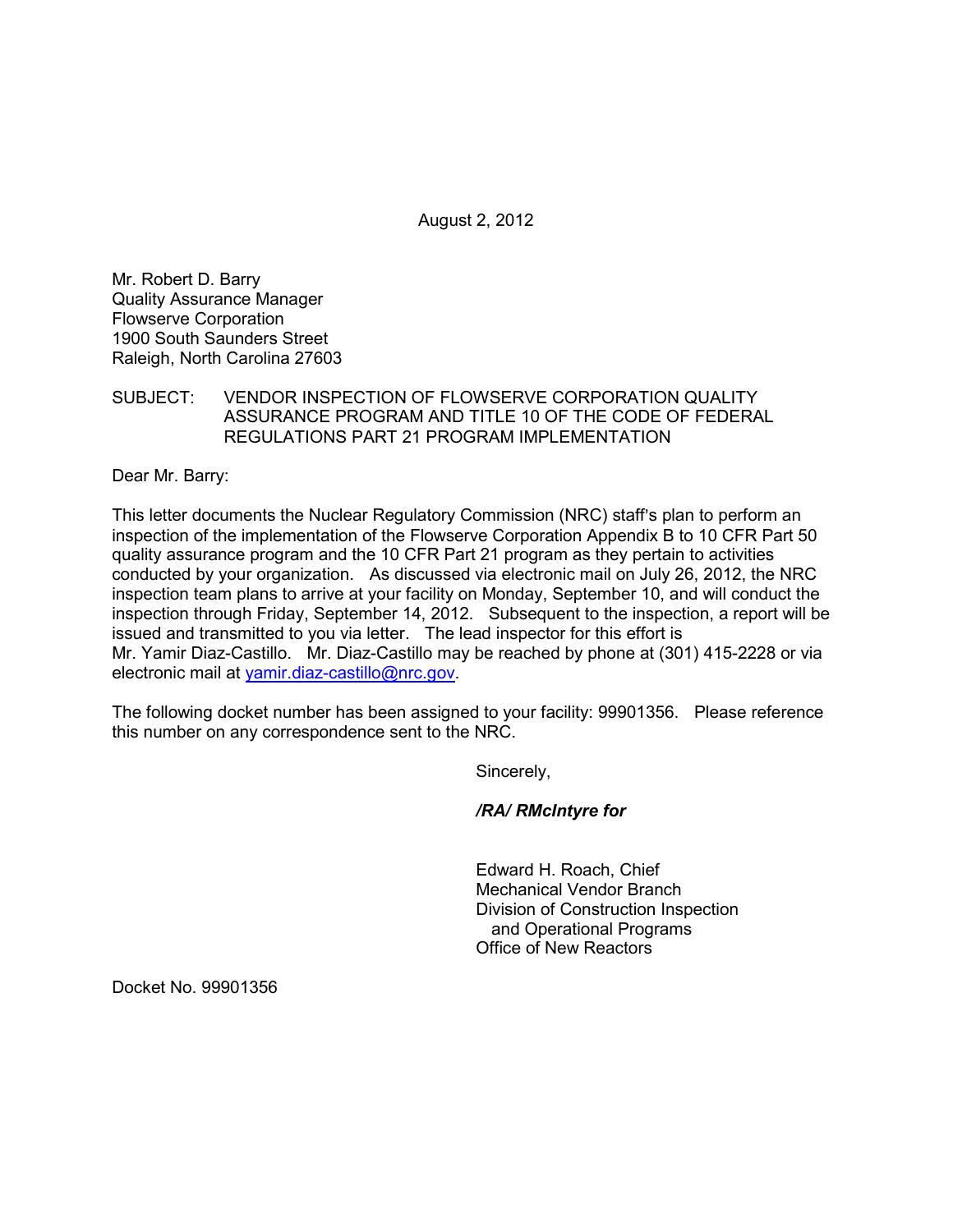August 2, 2012

Mr. Robert D. Barry Quality Assurance Manager Flowserve Corporation 1900 South Saunders Street Raleigh, North Carolina 27603

SUBJECT: VENDOR INSPECTION OF FLOWSERVE CORPORATION QUALITY ASSURANCE PROGRAM AND TITLE 10 OF THE CODE OF FEDERAL REGULATIONS PART 21 PROGRAM IMPLEMENTATION

Dear Mr. Barry:

This letter documents the Nuclear Regulatory Commission (NRC) staff's plan to perform an inspection of the implementation of the Flowserve Corporation Appendix B to 10 CFR Part 50 quality assurance program and the 10 CFR Part 21 program as they pertain to activities conducted by your organization. As discussed via electronic mail on July 26, 2012, the NRC inspection team plans to arrive at your facility on Monday, September 10, and will conduct the inspection through Friday, September 14, 2012. Subsequent to the inspection, a report will be issued and transmitted to you via letter. The lead inspector for this effort is Mr. Yamir Diaz-Castillo. Mr. Diaz-Castillo may be reached by phone at (301) 415-2228 or via electronic mail at yamir.diaz-castillo@nrc.gov.

The following docket number has been assigned to your facility: 99901356. Please reference this number on any correspondence sent to the NRC.

Sincerely,

*/RA/ RMcIntyre for* 

Edward H. Roach, Chief Mechanical Vendor Branch Division of Construction Inspection and Operational Programs Office of New Reactors

Docket No. 99901356